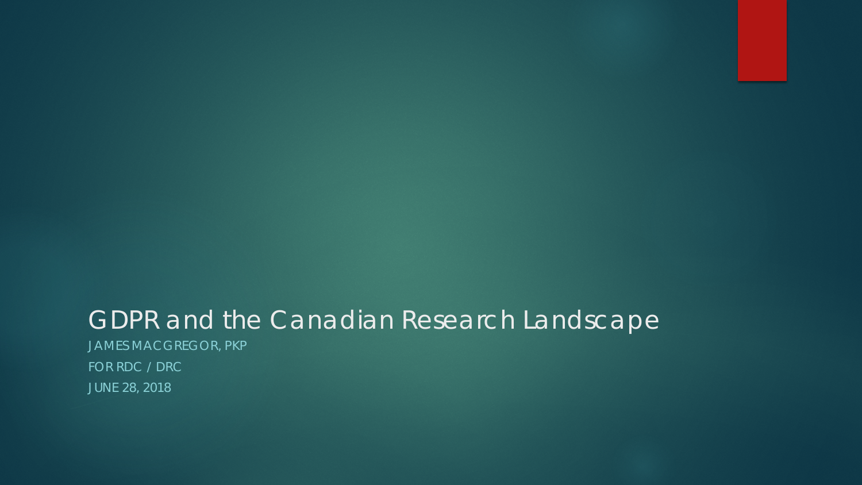#### GDPR and the Canadian Research Landscape

JAMES MACGREGOR, PKP FOR RDC / DRC JUNE 28, 2018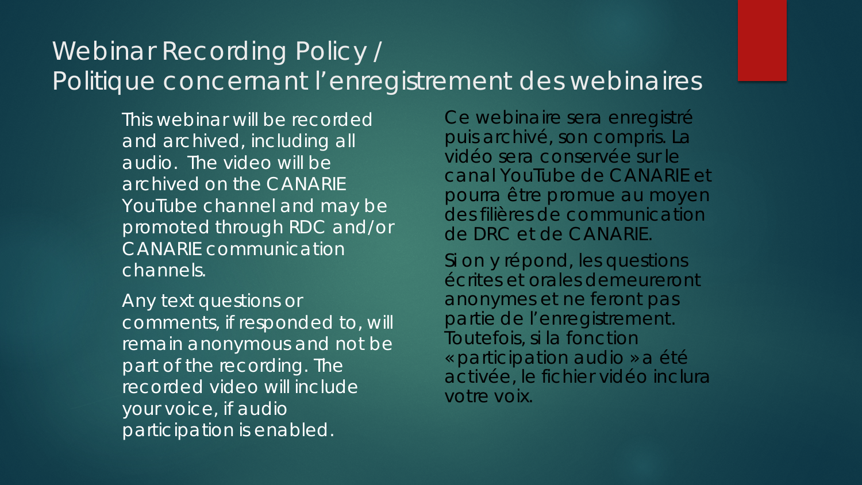#### Webinar Recording Policy / Politique concernant l'enregistrement des webinaires

This webinar will be recorded and archived, including all audio. The video will be archived on the CANARIE YouTube channel and may be promoted through RDC and/or CANARIE communication channels.

Any text questions or comments, if responded to, will remain anonymous and not be part of the recording. The recorded video will include your voice, if audio participation is enabled.

Ce webinaire sera enregistré puis archivé, son compris. La vidéo sera conservée sur le canal YouTube de CANARIE et pourra être promue au moyen des filières de communication de DRC et de CANARIE.

Si on y répond, les questions écrites et orales demeureront anonymes et ne feront pas partie de l'enregistrement. Toutefois, si la fonction « participation audio » a été activée, le fichier vidéo inclura votre voix.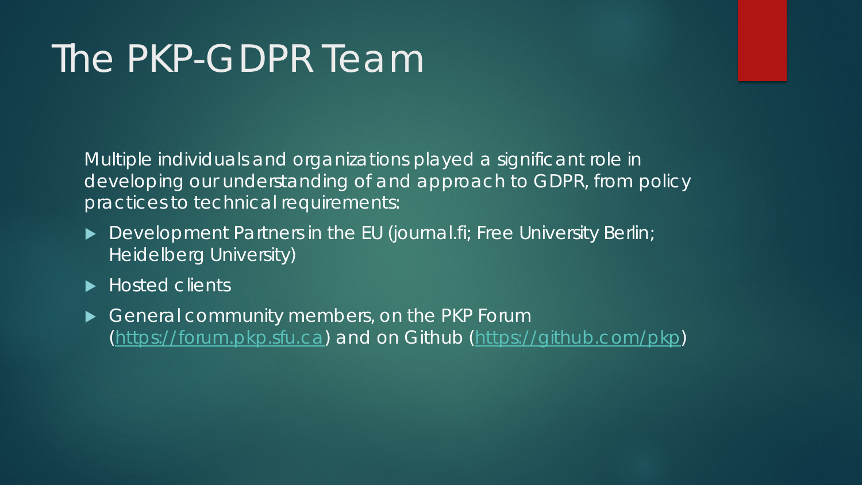## The PKP-GDPR Team

Multiple individuals and organizations played a significant role in developing our understanding of and approach to GDPR, from policy practices to technical requirements:

- Development Partners in the EU (journal.fi; Free University Berlin; Heidelberg University)
- ▶ Hosted clients
- General community members, on the PKP Forum [\(https://forum.pkp.sfu.ca\)](https://forum.pkp.sfu.ca/) and on Github [\(https://github.com/pkp](https://github.com/pkp))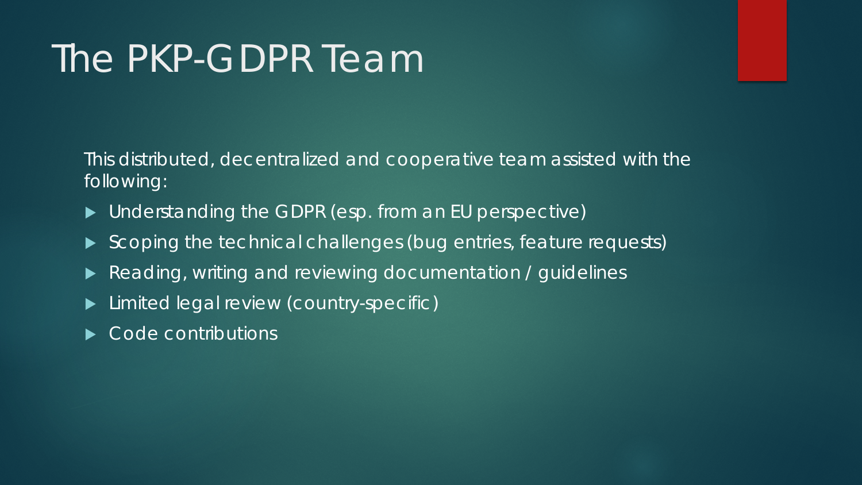# The PKP-GDPR Team

This distributed, decentralized and cooperative team assisted with the following:

- ▶ Understanding the GDPR (esp. from an EU perspective)
- Scoping the technical challenges (bug entries, feature requests)
- Reading, writing and reviewing documentation / guidelines
- **Limited legal review (country-specific)**
- Code contributions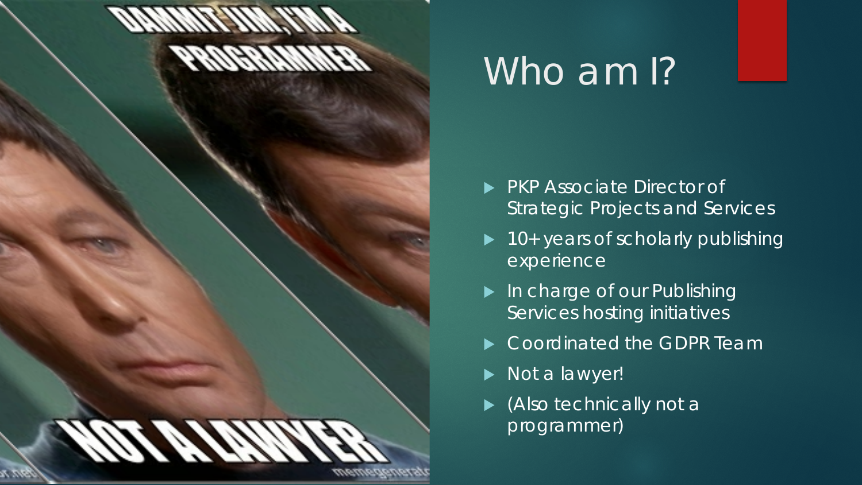#### **DAMMIT JIM, I'M A PROGRAMMER**

## NOT A LAWYER memegenerator.net

#### Who am I?

- **PKP Associate Director of** Strategic Projects and Services
- $\blacktriangleright$  10+ years of scholarly publishing experience
- In charge of our Publishing Services hosting initiatives
- Coordinated the GDPR Team
- Not a lawyer!
- ▶ (Also technically not a programmer)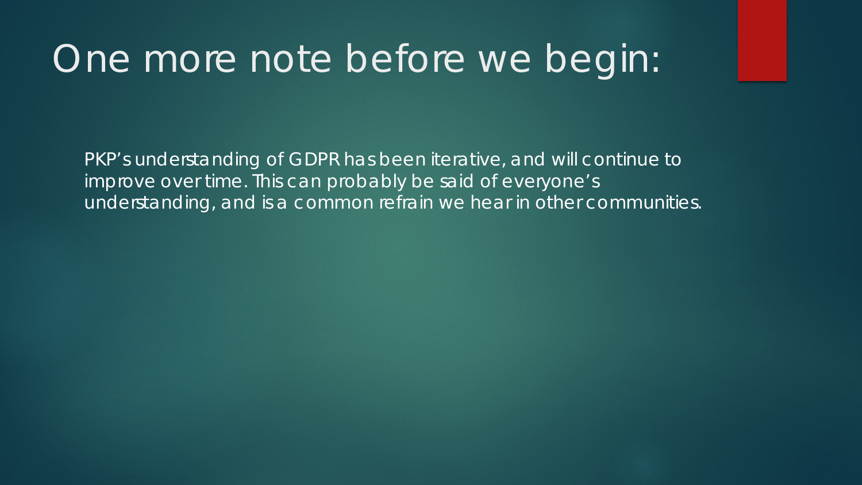## One more note before we begin:

PKP's understanding of GDPR has been iterative, and will continue to improve over time. This can probably be said of everyone's understanding, and is a common refrain we hear in other communities.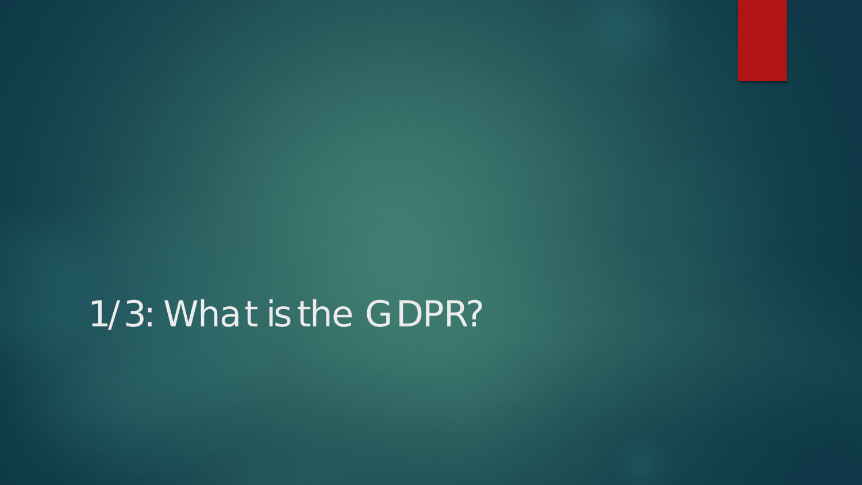1/3: What is the GDPR?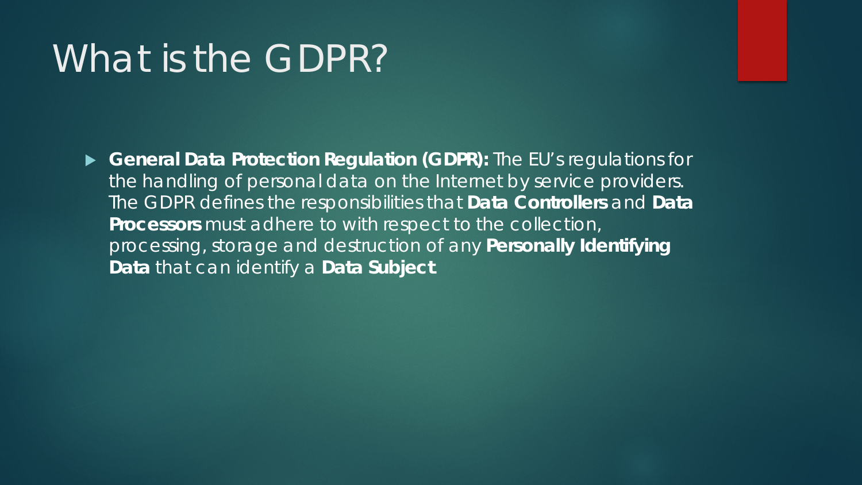#### What is the GDPR?'

 **General Data Protection Regulation (GDPR):** The EU's regulations for the handling of personal data on the Internet by service providers. The GDPR defines the responsibilities that **Data Controllers** and **Data Processors** must adhere to with respect to the collection, processing, storage and destruction of any **Personally Identifying Data** that can identify a **Data Subject**.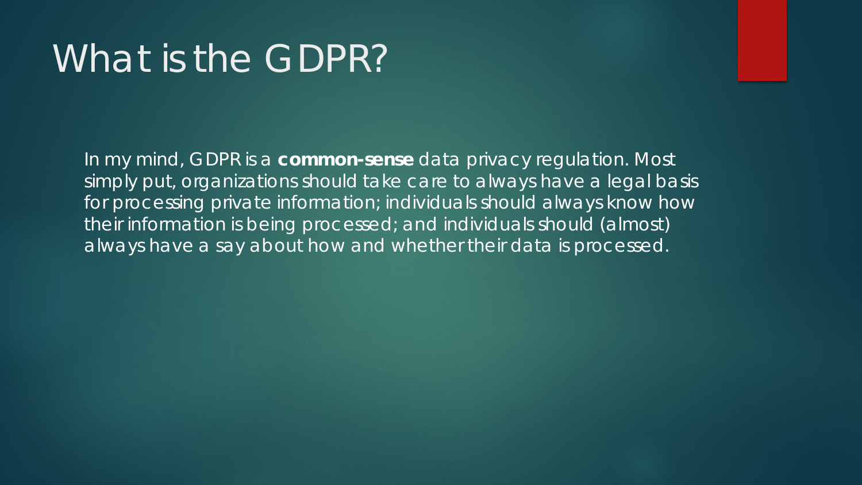## What is the GDPR?

In my mind, GDPR is a **common-sense** data privacy regulation. Most simply put, organizations should take care to always have a legal basis for processing private information; individuals should always know how their information is being processed; and individuals should (almost) always have a say about how and whether their data is processed.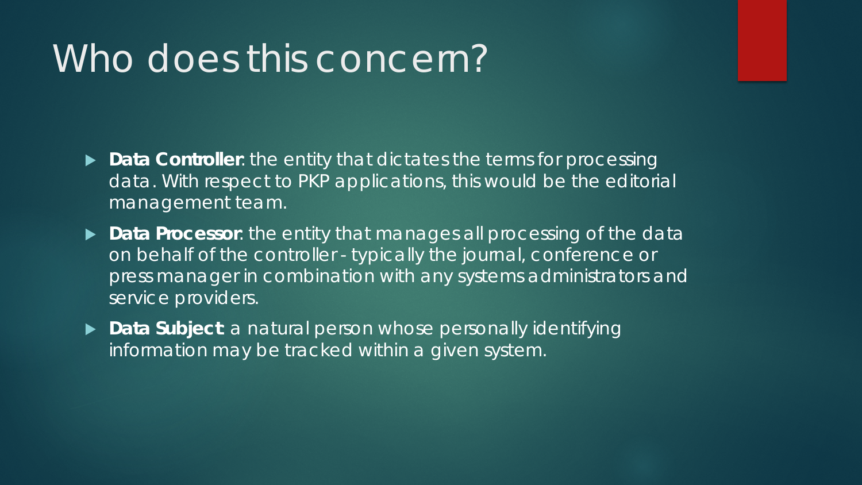#### Who does this concern?'

- **Data Controller**: the entity that dictates the terms for processing data. With respect to PKP applications, this would be the editorial management team.
- **Data Processor**: the entity that manages all processing of the data on behalf of the controller - typically the journal, conference or press manager in combination with any systems administrators and service providers.
- ▶ **Data Subject**: a natural person whose personally identifying information may be tracked within a given system.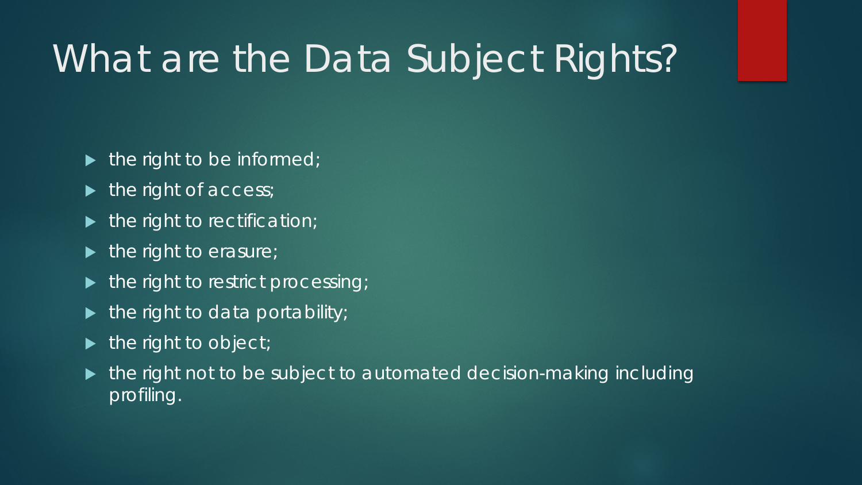# What are the Data Subject Rights?

- $\blacktriangleright$  the right to be informed;
- $\blacktriangleright$  the right of access;
- $\blacktriangleright$  the right to rectification;
- $\blacktriangleright$  the right to erasure;
- the right to restrict processing;
- $\blacktriangleright$  the right to data portability;
- $\blacktriangleright$  the right to object;
- $\blacktriangleright$  the right not to be subject to automated decision-making including profiling.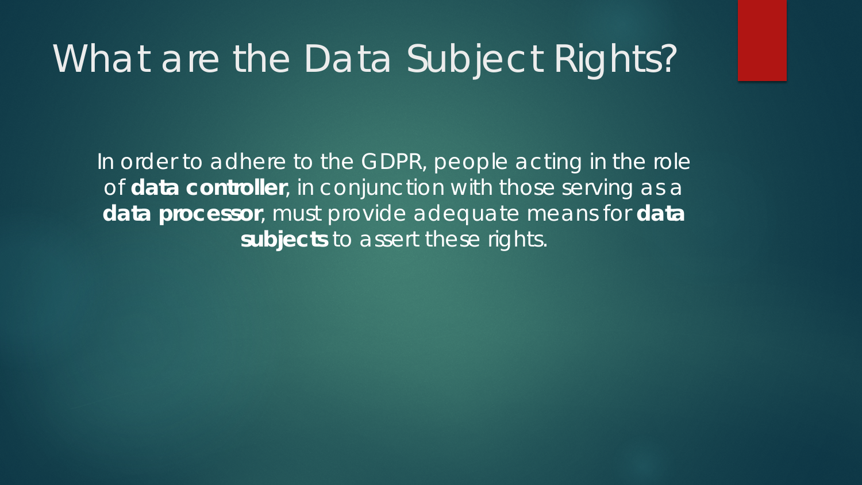## What are the Data Subject Rights?

In order to adhere to the GDPR, people acting in the role of **data controller**, in conjunction with those serving as a **data processor**, must provide adequate means for **data subjects** to assert these rights.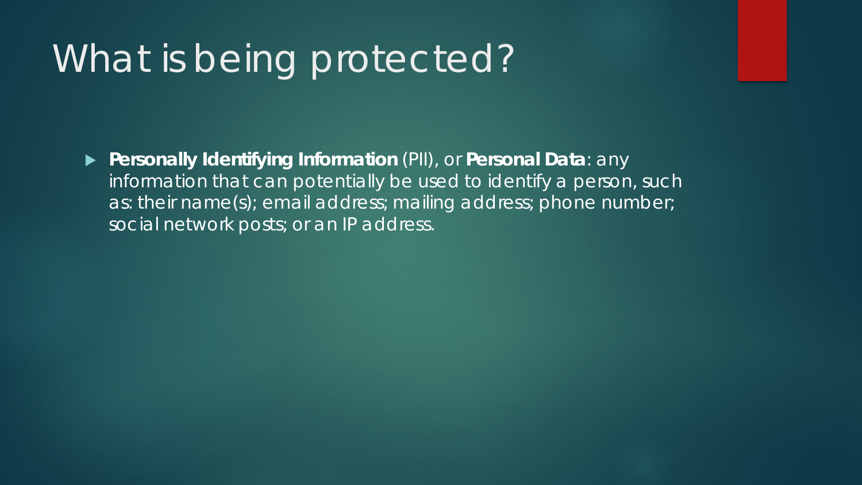## What is being protected?

 **Personally Identifying Information** (PII), or **Personal Data**: any information that can potentially be used to identify a person, such as: their name(s); email address; mailing address; phone number; social network posts; or an IP address.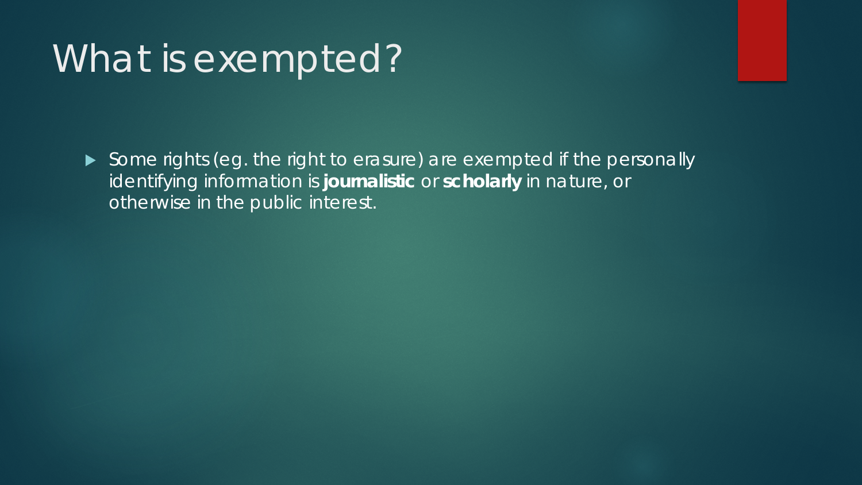## What is exempted?

Some rights (eg. the right to erasure) are exempted if the personally identifying information is **journalistic** or **scholarly** in nature, or otherwise in the public interest.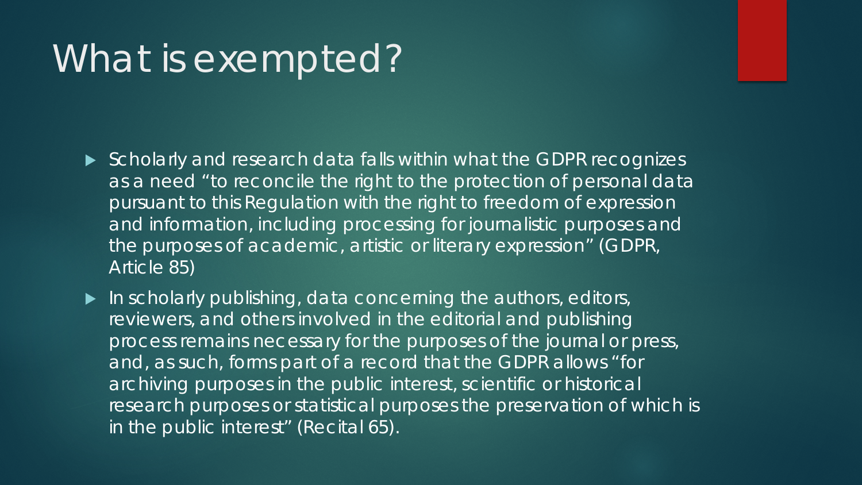### What is exempted?

- Scholarly and research data falls within what the GDPR recognizes as a need "to reconcile the right to the protection of personal data pursuant to this Regulation with the right to freedom of expression and information, including processing for journalistic purposes and the purposes of academic, artistic or literary expression" (GDPR, Article 85)
- $\blacktriangleright$  In scholarly publishing, data concerning the authors, editors, reviewers, and others involved in the editorial and publishing process remains necessary for the purposes of the journal or press, and, as such, forms part of a record that the GDPR allows "for archiving purposes in the public interest, scientific or historical research purposes or statistical purposes the preservation of which is in the public interest" (Recital 65).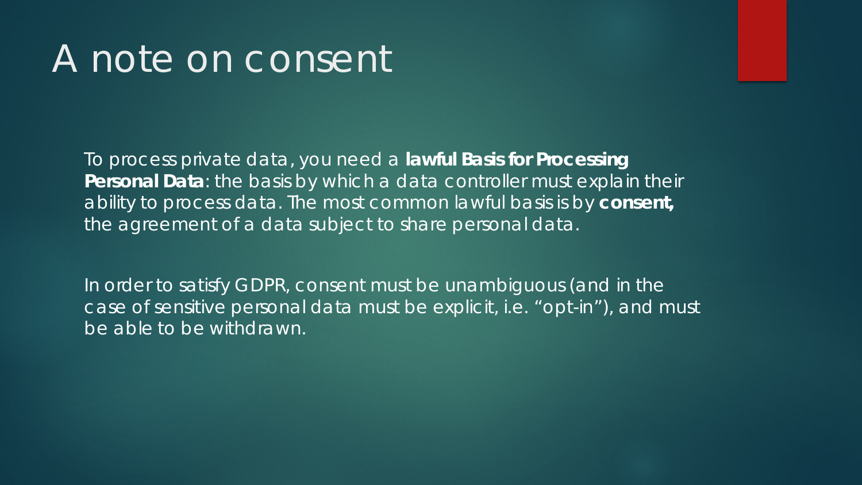#### A note on consent

To process private data, you need a **lawful Basis for Processing Personal Data**: the basis by which a data controller must explain their ability to process data. The most common lawful basis is by **consent,**  the agreement of a data subject to share personal data.

In order to satisfy GDPR, consent must be unambiguous (and in the case of sensitive personal data must be explicit, i.e. "opt-in"), and must be able to be withdrawn.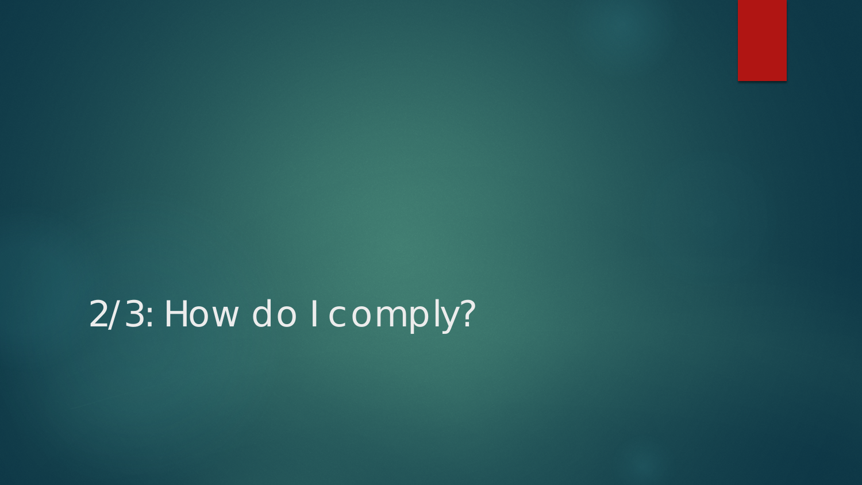2/3: How do I comply?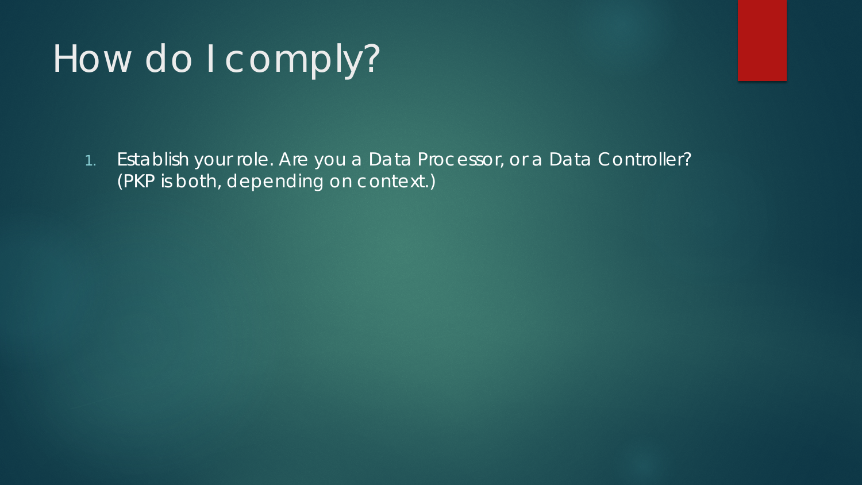1. Establish your role. Are you a Data Processor, or a Data Controller? (PKP is both, depending on context.)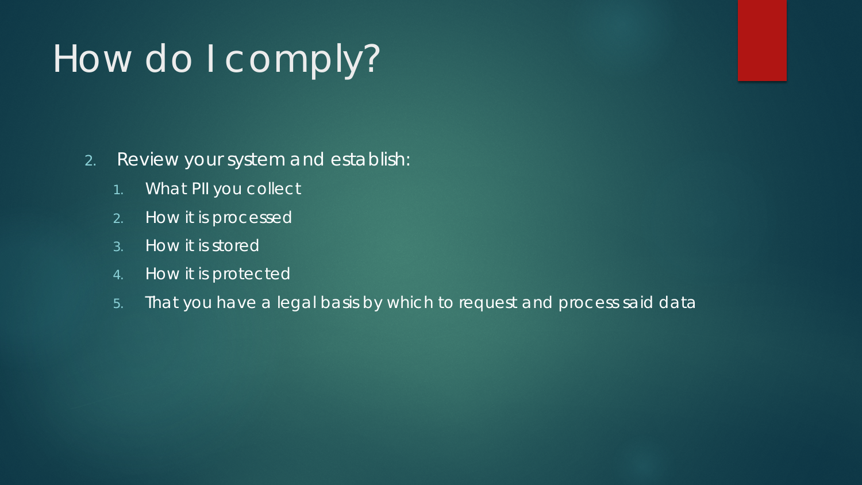- 2. Review your system and establish:
	- 1. What PII you collect
	- 2. How it is processed
	- 3. How it is stored
	- 4. How it is protected
	- 5. That you have a legal basis by which to request and process said data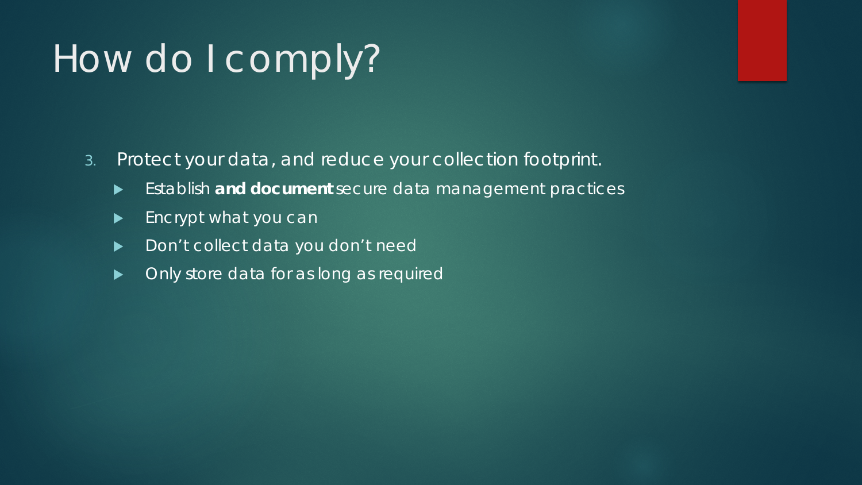- 3. Protect your data, and reduce your collection footprint.
	- Establish **and document** secure data management practices
	- **Encrypt what you can**
	- Don't collect data you don't need
	- **Delach Struck** Only store data for as long as required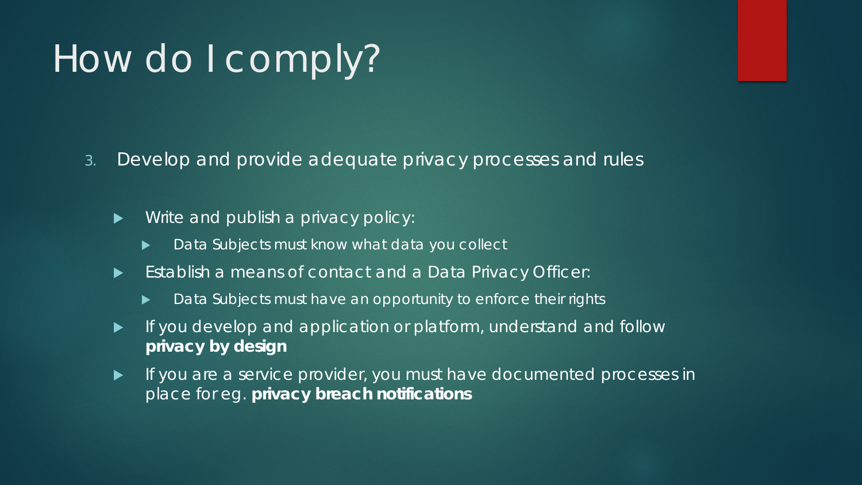3. Develop and provide adequate privacy processes and rules

**Notaker Milters** And publish a privacy policy:

- Data Subjects must know what data you collect
- Establish a means of contact and a Data Privacy Officer:
	- Data Subjects must have an opportunity to enforce their rights
- **If you develop and application or platform, understand and follow privacy by design**
- **If you are a service provider, you must have documented processes in** place for eg. **privacy breach notifications**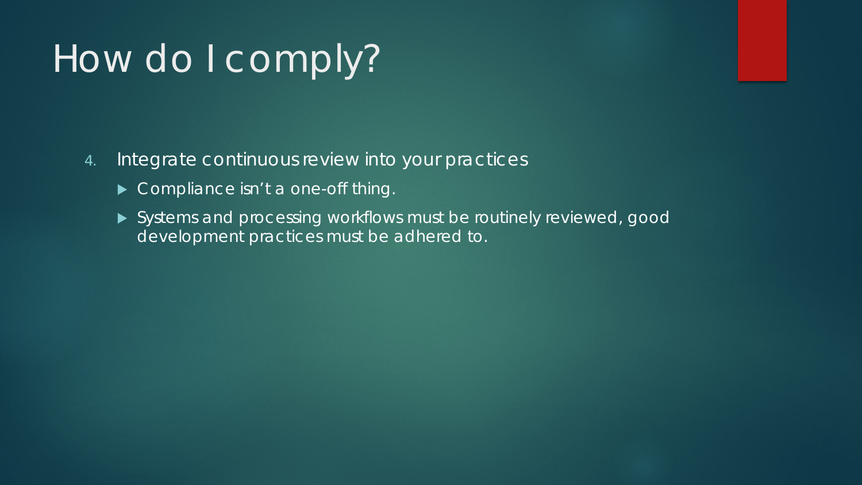- 4. Integrate continuous review into your practices
	- Compliance isn't a one-off thing.
	- Systems and processing workflows must be routinely reviewed, good development practices must be adhered to.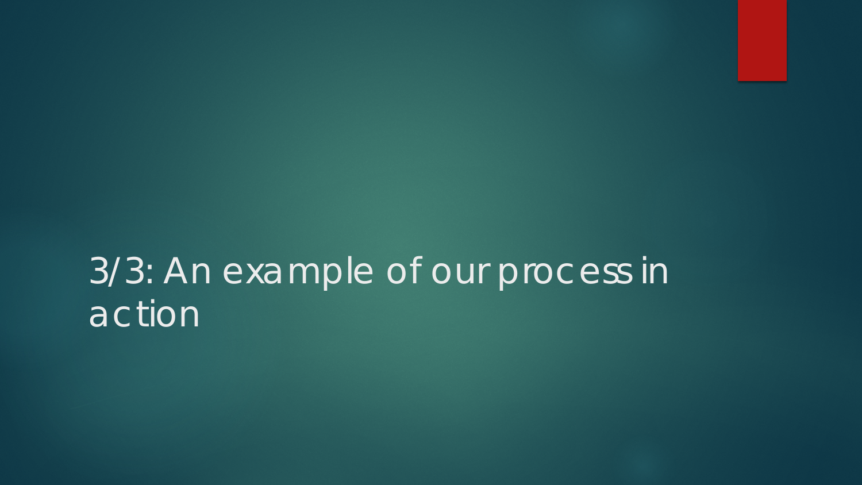## 3/3: An example of our process in action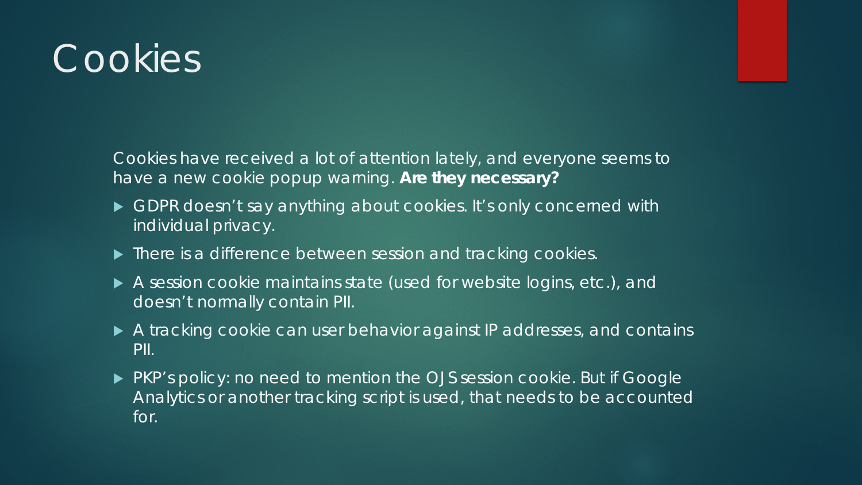## **Cookies**

Cookies have received a lot of attention lately, and everyone seems to have a new cookie popup warning. **Are they necessary?**

- GDPR doesn't say anything about cookies. It's only concerned with individual privacy.
- $\blacktriangleright$  There is a difference between session and tracking cookies.
- A session cookie maintains state (used for website logins, etc.), and doesn't normally contain PII.
- A tracking cookie can user behavior against IP addresses, and contains PII.
- ▶ PKP's policy: no need to mention the OJS session cookie. But if Google Analytics or another tracking script is used, that needs to be accounted for.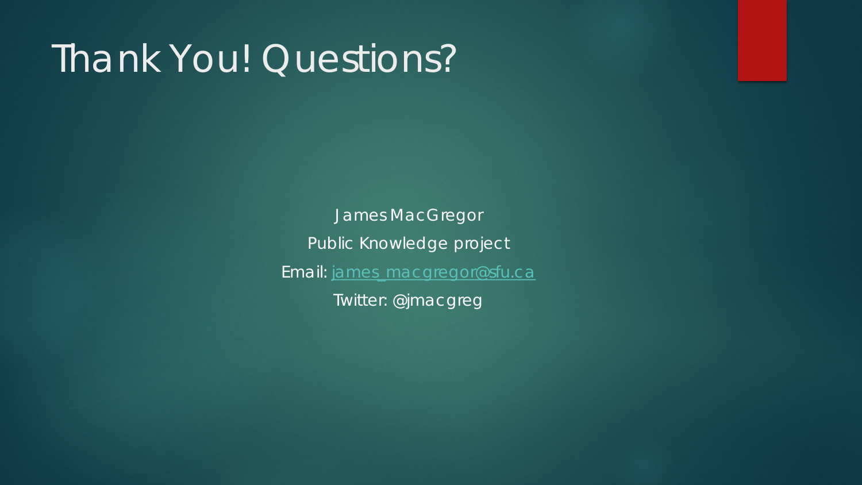## Thank You! Questions?

James MacGregor Public Knowledge project Email: [james\\_macgregor@sfu.ca](mailto:james_macgregor@sfu.ca) Twitter: @jmacgreg